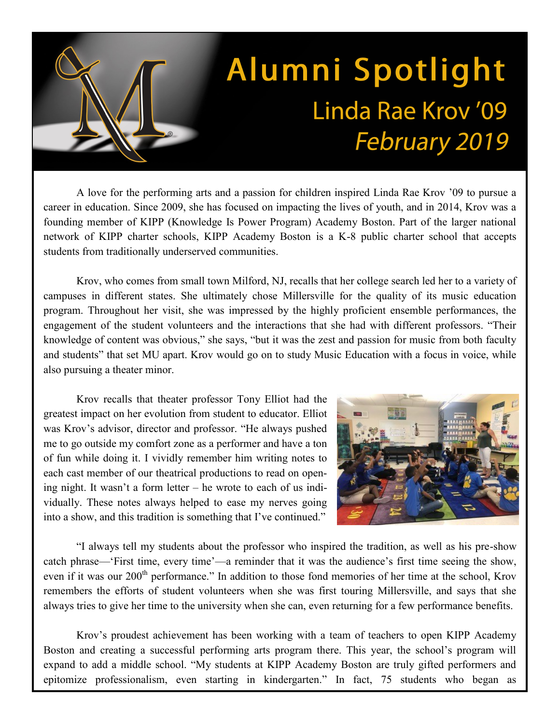## Alumni Spotlight Linda Rae Krov '09 **February 2019**

A love for the performing arts and a passion for children inspired Linda Rae Krov '09 to pursue a career in education. Since 2009, she has focused on impacting the lives of youth, and in 2014, Krov was a founding member of KIPP (Knowledge Is Power Program) Academy Boston. Part of the larger national network of KIPP charter schools, KIPP Academy Boston is a K-8 public charter school that accepts students from traditionally underserved communities.

Krov, who comes from small town Milford, NJ, recalls that her college search led her to a variety of campuses in different states. She ultimately chose Millersville for the quality of its music education program. Throughout her visit, she was impressed by the highly proficient ensemble performances, the engagement of the student volunteers and the interactions that she had with different professors. "Their knowledge of content was obvious," she says, "but it was the zest and passion for music from both faculty and students" that set MU apart. Krov would go on to study Music Education with a focus in voice, while also pursuing a theater minor.

Krov recalls that theater professor Tony Elliot had the greatest impact on her evolution from student to educator. Elliot was Krov's advisor, director and professor. "He always pushed me to go outside my comfort zone as a performer and have a ton of fun while doing it. I vividly remember him writing notes to each cast member of our theatrical productions to read on opening night. It wasn't a form letter – he wrote to each of us individually. These notes always helped to ease my nerves going into a show, and this tradition is something that I've continued."



"I always tell my students about the professor who inspired the tradition, as well as his pre-show catch phrase—'First time, every time'—a reminder that it was the audience's first time seeing the show, even if it was our 200<sup>th</sup> performance." In addition to those fond memories of her time at the school, Krov remembers the efforts of student volunteers when she was first touring Millersville, and says that she always tries to give her time to the university when she can, even returning for a few performance benefits.

Krov's proudest achievement has been working with a team of teachers to open KIPP Academy Boston and creating a successful performing arts program there. This year, the school's program will expand to add a middle school. "My students at KIPP Academy Boston are truly gifted performers and epitomize professionalism, even starting in kindergarten." In fact, 75 students who began as